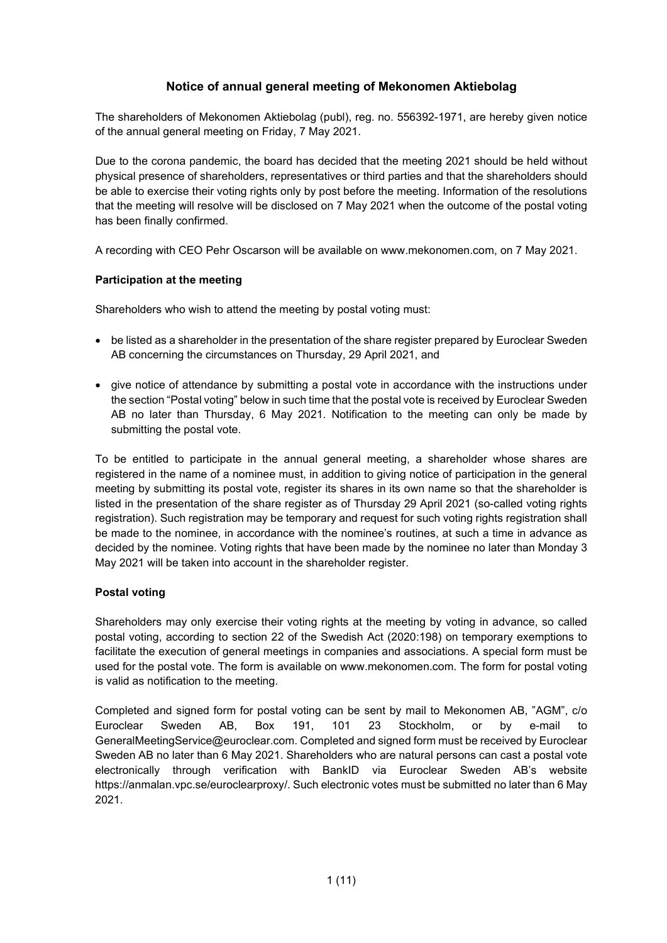# **Notice of annual general meeting of Mekonomen Aktiebolag**

The shareholders of Mekonomen Aktiebolag (publ), reg. no. 556392-1971, are hereby given notice of the annual general meeting on Friday, 7 May 2021.

Due to the corona pandemic, the board has decided that the meeting 2021 should be held without physical presence of shareholders, representatives or third parties and that the shareholders should be able to exercise their voting rights only by post before the meeting. Information of the resolutions that the meeting will resolve will be disclosed on 7 May 2021 when the outcome of the postal voting has been finally confirmed.

A recording with CEO Pehr Oscarson will be available on www.mekonomen.com, on 7 May 2021.

## **Participation at the meeting**

Shareholders who wish to attend the meeting by postal voting must:

- be listed as a shareholder in the presentation of the share register prepared by Euroclear Sweden AB concerning the circumstances on Thursday, 29 April 2021, and
- give notice of attendance by submitting a postal vote in accordance with the instructions under the section "Postal voting" below in such time that the postal vote is received by Euroclear Sweden AB no later than Thursday, 6 May 2021. Notification to the meeting can only be made by submitting the postal vote.

To be entitled to participate in the annual general meeting, a shareholder whose shares are registered in the name of a nominee must, in addition to giving notice of participation in the general meeting by submitting its postal vote, register its shares in its own name so that the shareholder is listed in the presentation of the share register as of Thursday 29 April 2021 (so-called voting rights registration). Such registration may be temporary and request for such voting rights registration shall be made to the nominee, in accordance with the nominee's routines, at such a time in advance as decided by the nominee. Voting rights that have been made by the nominee no later than Monday 3 May 2021 will be taken into account in the shareholder register.

## **Postal voting**

Shareholders may only exercise their voting rights at the meeting by voting in advance, so called postal voting, according to section 22 of the Swedish Act (2020:198) on temporary exemptions to facilitate the execution of general meetings in companies and associations. A special form must be used for the postal vote. The form is available on www.mekonomen.com. The form for postal voting is valid as notification to the meeting.

Completed and signed form for postal voting can be sent by mail to Mekonomen AB, "AGM", c/o Euroclear Sweden AB, Box 191, 101 23 Stockholm, or by e-mail to GeneralMeetingService@euroclear.com. Completed and signed form must be received by Euroclear Sweden AB no later than 6 May 2021. Shareholders who are natural persons can cast a postal vote electronically through verification with BankID via Euroclear Sweden AB's website https://anmalan.vpc.se/euroclearproxy/. Such electronic votes must be submitted no later than 6 May 2021.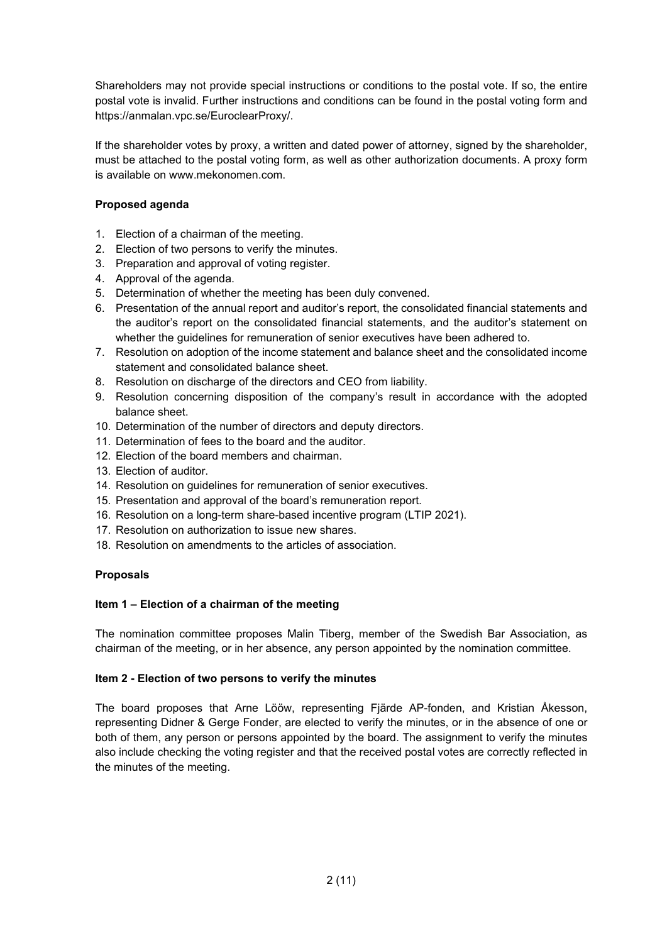Shareholders may not provide special instructions or conditions to the postal vote. If so, the entire postal vote is invalid. Further instructions and conditions can be found in the postal voting form and https://anmalan.vpc.se/EuroclearProxy/.

If the shareholder votes by proxy, a written and dated power of attorney, signed by the shareholder, must be attached to the postal voting form, as well as other authorization documents. A proxy form is available on www.mekonomen.com.

## **Proposed agenda**

- 1. Election of a chairman of the meeting.
- 2. Election of two persons to verify the minutes.
- 3. Preparation and approval of voting register.
- 4. Approval of the agenda.
- 5. Determination of whether the meeting has been duly convened.
- 6. Presentation of the annual report and auditor's report, the consolidated financial statements and the auditor's report on the consolidated financial statements, and the auditor's statement on whether the guidelines for remuneration of senior executives have been adhered to.
- 7. Resolution on adoption of the income statement and balance sheet and the consolidated income statement and consolidated balance sheet.
- 8. Resolution on discharge of the directors and CEO from liability.
- 9. Resolution concerning disposition of the company's result in accordance with the adopted balance sheet.
- 10. Determination of the number of directors and deputy directors.
- 11. Determination of fees to the board and the auditor.
- 12. Election of the board members and chairman.
- 13. Election of auditor.
- 14. Resolution on guidelines for remuneration of senior executives.
- 15. Presentation and approval of the board's remuneration report.
- 16. Resolution on a long-term share-based incentive program (LTIP 2021).
- 17. Resolution on authorization to issue new shares.
- 18. Resolution on amendments to the articles of association.

### **Proposals**

### **Item 1 – Election of a chairman of the meeting**

The nomination committee proposes Malin Tiberg, member of the Swedish Bar Association, as chairman of the meeting, or in her absence, any person appointed by the nomination committee.

### **Item 2 - Election of two persons to verify the minutes**

The board proposes that Arne Lööw, representing Fjärde AP-fonden, and Kristian Åkesson, representing Didner & Gerge Fonder, are elected to verify the minutes, or in the absence of one or both of them, any person or persons appointed by the board. The assignment to verify the minutes also include checking the voting register and that the received postal votes are correctly reflected in the minutes of the meeting.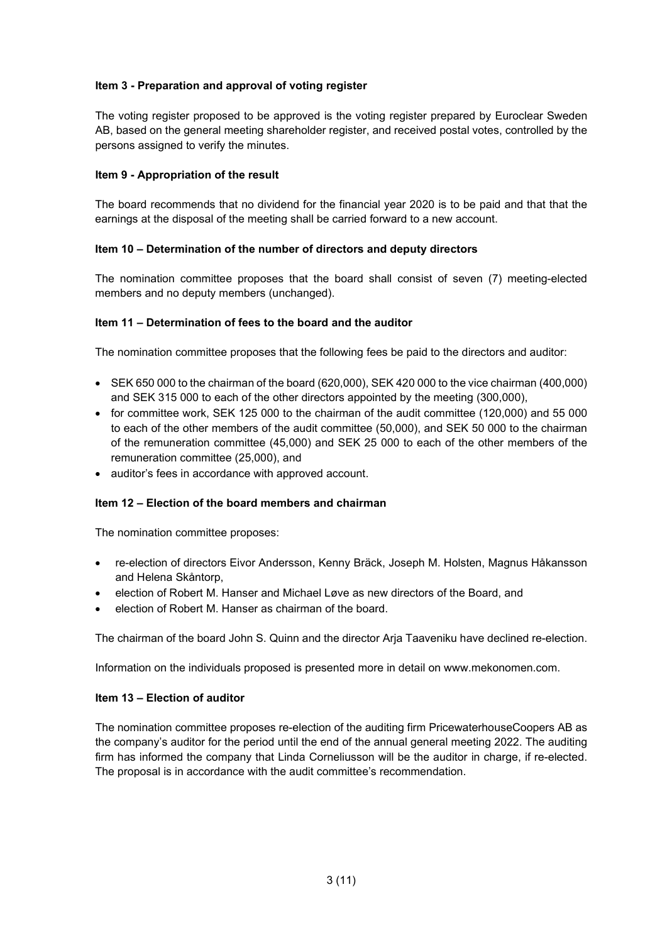## **Item 3 - Preparation and approval of voting register**

The voting register proposed to be approved is the voting register prepared by Euroclear Sweden AB, based on the general meeting shareholder register, and received postal votes, controlled by the persons assigned to verify the minutes.

## **Item 9 - Appropriation of the result**

The board recommends that no dividend for the financial year 2020 is to be paid and that that the earnings at the disposal of the meeting shall be carried forward to a new account.

## **Item 10 – Determination of the number of directors and deputy directors**

The nomination committee proposes that the board shall consist of seven (7) meeting-elected members and no deputy members (unchanged).

### **Item 11 – Determination of fees to the board and the auditor**

The nomination committee proposes that the following fees be paid to the directors and auditor:

- SEK 650 000 to the chairman of the board (620,000), SEK 420 000 to the vice chairman (400,000) and SEK 315 000 to each of the other directors appointed by the meeting (300,000),
- for committee work, SEK 125 000 to the chairman of the audit committee (120,000) and 55 000 to each of the other members of the audit committee (50,000), and SEK 50 000 to the chairman of the remuneration committee (45,000) and SEK 25 000 to each of the other members of the remuneration committee (25,000), and
- auditor's fees in accordance with approved account.

### **Item 12 – Election of the board members and chairman**

The nomination committee proposes:

- re-election of directors Eivor Andersson, Kenny Bräck, Joseph M. Holsten, Magnus Håkansson and Helena Skåntorp,
- election of Robert M. Hanser and Michael Løve as new directors of the Board, and
- election of Robert M. Hanser as chairman of the board.

The chairman of the board John S. Quinn and the director Arja Taaveniku have declined re-election.

Information on the individuals proposed is presented more in detail on www.mekonomen.com.

### **Item 13 – Election of auditor**

The nomination committee proposes re-election of the auditing firm PricewaterhouseCoopers AB as the company's auditor for the period until the end of the annual general meeting 2022. The auditing firm has informed the company that Linda Corneliusson will be the auditor in charge, if re-elected. The proposal is in accordance with the audit committee's recommendation.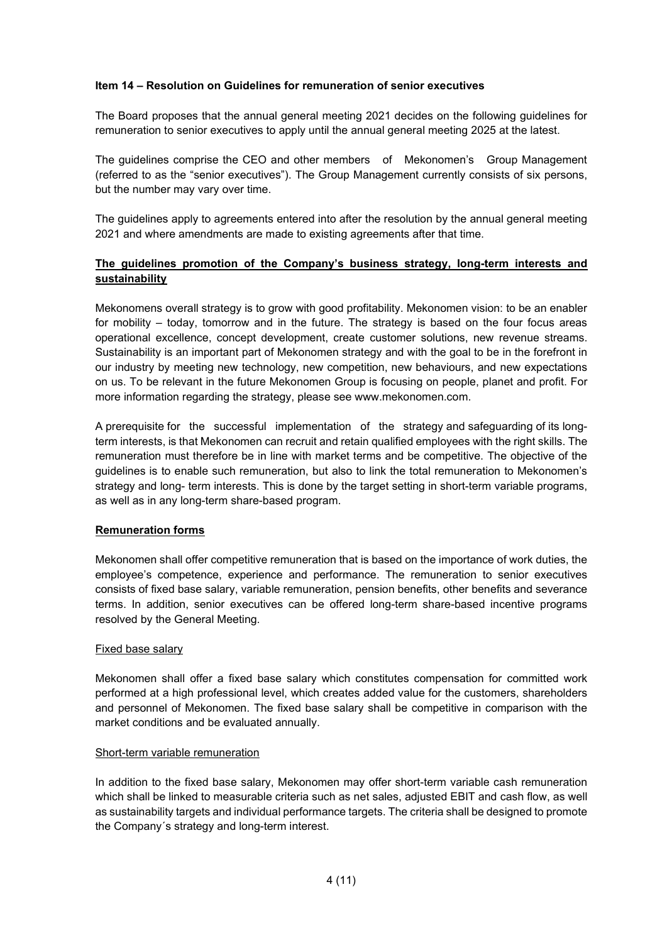## **Item 14 – Resolution on Guidelines for remuneration of senior executives**

The Board proposes that the annual general meeting 2021 decides on the following guidelines for remuneration to senior executives to apply until the annual general meeting 2025 at the latest.

The guidelines comprise the CEO and other members of Mekonomen's Group Management (referred to as the "senior executives"). The Group Management currently consists of six persons, but the number may vary over time.

The guidelines apply to agreements entered into after the resolution by the annual general meeting 2021 and where amendments are made to existing agreements after that time.

## **The guidelines promotion of the Company's business strategy, long-term interests and sustainability**

Mekonomens overall strategy is to grow with good profitability. Mekonomen vision: to be an enabler for mobility – today, tomorrow and in the future. The strategy is based on the four focus areas operational excellence, concept development, create customer solutions, new revenue streams. Sustainability is an important part of Mekonomen strategy and with the goal to be in the forefront in our industry by meeting new technology, new competition, new behaviours, and new expectations on us. To be relevant in the future Mekonomen Group is focusing on people, planet and profit. For more information regarding the strategy, please see www.mekonomen.com.

A prerequisite for the successful implementation of the strategy and safeguarding of its longterm interests, is that Mekonomen can recruit and retain qualified employees with the right skills. The remuneration must therefore be in line with market terms and be competitive. The objective of the guidelines is to enable such remuneration, but also to link the total remuneration to Mekonomen's strategy and long- term interests. This is done by the target setting in short-term variable programs, as well as in any long-term share-based program.

### **Remuneration forms**

Mekonomen shall offer competitive remuneration that is based on the importance of work duties, the employee's competence, experience and performance. The remuneration to senior executives consists of fixed base salary, variable remuneration, pension benefits, other benefits and severance terms. In addition, senior executives can be offered long-term share-based incentive programs resolved by the General Meeting.

### Fixed base salary

Mekonomen shall offer a fixed base salary which constitutes compensation for committed work performed at a high professional level, which creates added value for the customers, shareholders and personnel of Mekonomen. The fixed base salary shall be competitive in comparison with the market conditions and be evaluated annually.

### Short-term variable remuneration

In addition to the fixed base salary, Mekonomen may offer short-term variable cash remuneration which shall be linked to measurable criteria such as net sales, adjusted EBIT and cash flow, as well as sustainability targets and individual performance targets. The criteria shall be designed to promote the Company´s strategy and long-term interest.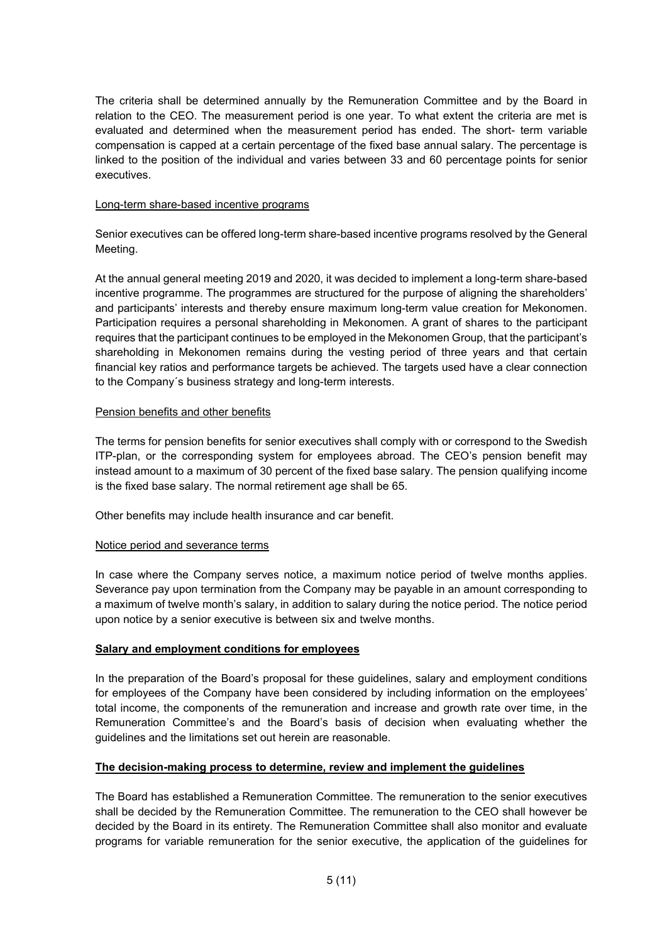The criteria shall be determined annually by the Remuneration Committee and by the Board in relation to the CEO. The measurement period is one year. To what extent the criteria are met is evaluated and determined when the measurement period has ended. The short- term variable compensation is capped at a certain percentage of the fixed base annual salary. The percentage is linked to the position of the individual and varies between 33 and 60 percentage points for senior executives.

### Long-term share-based incentive programs

Senior executives can be offered long-term share-based incentive programs resolved by the General Meeting.

At the annual general meeting 2019 and 2020, it was decided to implement a long-term share-based incentive programme. The programmes are structured for the purpose of aligning the shareholders' and participants' interests and thereby ensure maximum long-term value creation for Mekonomen. Participation requires a personal shareholding in Mekonomen. A grant of shares to the participant requires that the participant continues to be employed in the Mekonomen Group, that the participant's shareholding in Mekonomen remains during the vesting period of three years and that certain financial key ratios and performance targets be achieved. The targets used have a clear connection to the Company´s business strategy and long-term interests.

### Pension benefits and other benefits

The terms for pension benefits for senior executives shall comply with or correspond to the Swedish ITP-plan, or the corresponding system for employees abroad. The CEO's pension benefit may instead amount to a maximum of 30 percent of the fixed base salary. The pension qualifying income is the fixed base salary. The normal retirement age shall be 65.

Other benefits may include health insurance and car benefit.

### Notice period and severance terms

In case where the Company serves notice, a maximum notice period of twelve months applies. Severance pay upon termination from the Company may be payable in an amount corresponding to a maximum of twelve month's salary, in addition to salary during the notice period. The notice period upon notice by a senior executive is between six and twelve months.

### **Salary and employment conditions for employees**

In the preparation of the Board's proposal for these guidelines, salary and employment conditions for employees of the Company have been considered by including information on the employees' total income, the components of the remuneration and increase and growth rate over time, in the Remuneration Committee's and the Board's basis of decision when evaluating whether the guidelines and the limitations set out herein are reasonable.

## **The decision-making process to determine, review and implement the guidelines**

The Board has established a Remuneration Committee. The remuneration to the senior executives shall be decided by the Remuneration Committee. The remuneration to the CEO shall however be decided by the Board in its entirety. The Remuneration Committee shall also monitor and evaluate programs for variable remuneration for the senior executive, the application of the guidelines for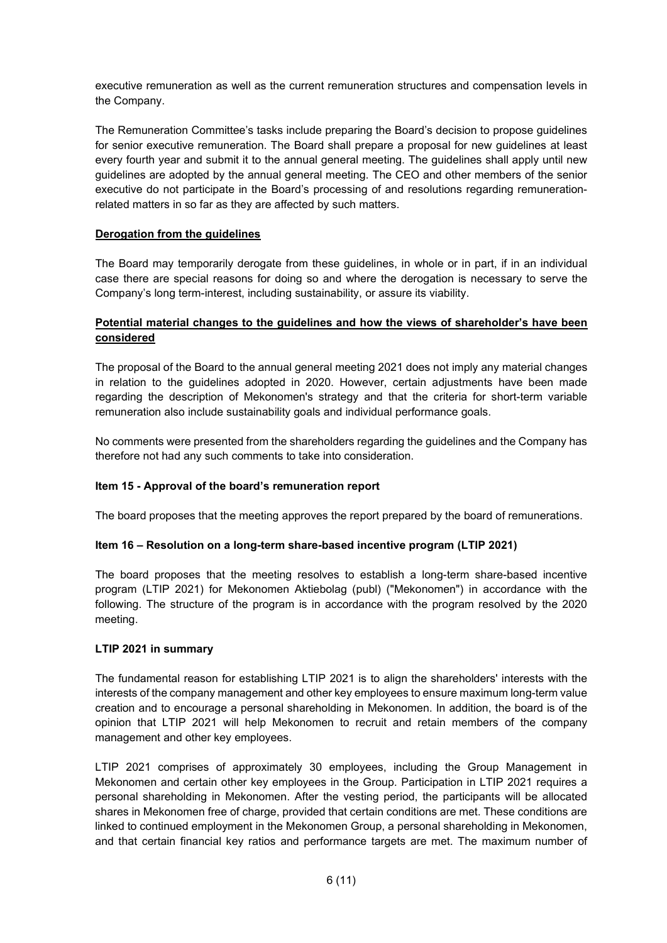executive remuneration as well as the current remuneration structures and compensation levels in the Company.

The Remuneration Committee's tasks include preparing the Board's decision to propose guidelines for senior executive remuneration. The Board shall prepare a proposal for new guidelines at least every fourth year and submit it to the annual general meeting. The guidelines shall apply until new guidelines are adopted by the annual general meeting. The CEO and other members of the senior executive do not participate in the Board's processing of and resolutions regarding remunerationrelated matters in so far as they are affected by such matters.

## **Derogation from the guidelines**

The Board may temporarily derogate from these guidelines, in whole or in part, if in an individual case there are special reasons for doing so and where the derogation is necessary to serve the Company's long term-interest, including sustainability, or assure its viability.

## **Potential material changes to the guidelines and how the views of shareholder's have been considered**

The proposal of the Board to the annual general meeting 2021 does not imply any material changes in relation to the guidelines adopted in 2020. However, certain adjustments have been made regarding the description of Mekonomen's strategy and that the criteria for short-term variable remuneration also include sustainability goals and individual performance goals.

No comments were presented from the shareholders regarding the guidelines and the Company has therefore not had any such comments to take into consideration.

### **Item 15 - Approval of the board's remuneration report**

The board proposes that the meeting approves the report prepared by the board of remunerations.

### **Item 16 – Resolution on a long-term share-based incentive program (LTIP 2021)**

The board proposes that the meeting resolves to establish a long-term share-based incentive program (LTIP 2021) for Mekonomen Aktiebolag (publ) ("Mekonomen") in accordance with the following. The structure of the program is in accordance with the program resolved by the 2020 meeting.

### **LTIP 2021 in summary**

The fundamental reason for establishing LTIP 2021 is to align the shareholders' interests with the interests of the company management and other key employees to ensure maximum long-term value creation and to encourage a personal shareholding in Mekonomen. In addition, the board is of the opinion that LTIP 2021 will help Mekonomen to recruit and retain members of the company management and other key employees.

LTIP 2021 comprises of approximately 30 employees, including the Group Management in Mekonomen and certain other key employees in the Group. Participation in LTIP 2021 requires a personal shareholding in Mekonomen. After the vesting period, the participants will be allocated shares in Mekonomen free of charge, provided that certain conditions are met. These conditions are linked to continued employment in the Mekonomen Group, a personal shareholding in Mekonomen, and that certain financial key ratios and performance targets are met. The maximum number of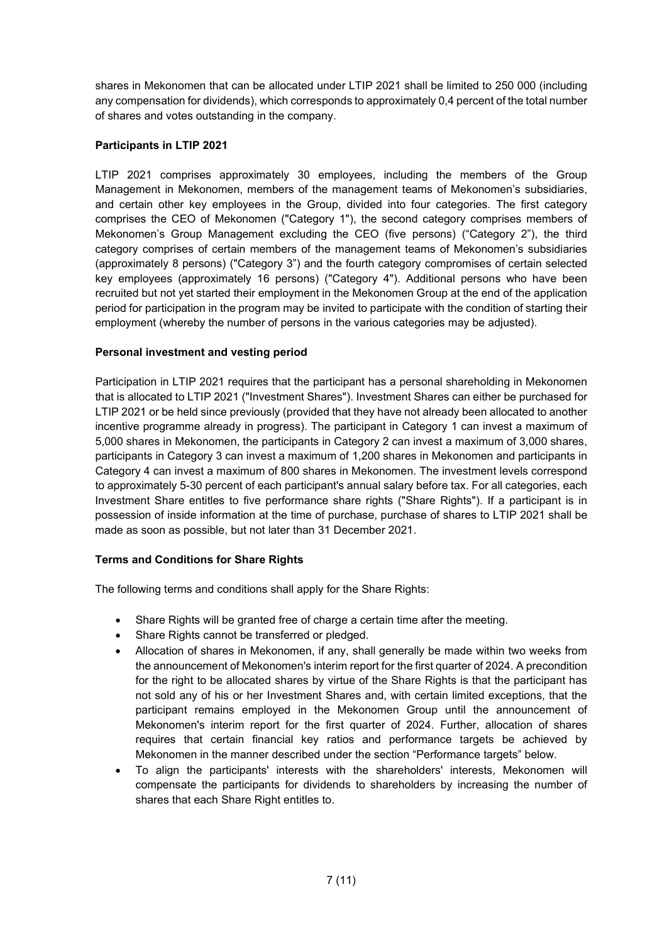shares in Mekonomen that can be allocated under LTIP 2021 shall be limited to 250 000 (including any compensation for dividends), which corresponds to approximately 0,4 percent of the total number of shares and votes outstanding in the company.

## **Participants in LTIP 2021**

LTIP 2021 comprises approximately 30 employees, including the members of the Group Management in Mekonomen, members of the management teams of Mekonomen's subsidiaries, and certain other key employees in the Group, divided into four categories. The first category comprises the CEO of Mekonomen ("Category 1"), the second category comprises members of Mekonomen's Group Management excluding the CEO (five persons) ("Category 2"), the third category comprises of certain members of the management teams of Mekonomen's subsidiaries (approximately 8 persons) ("Category 3") and the fourth category compromises of certain selected key employees (approximately 16 persons) ("Category 4"). Additional persons who have been recruited but not yet started their employment in the Mekonomen Group at the end of the application period for participation in the program may be invited to participate with the condition of starting their employment (whereby the number of persons in the various categories may be adjusted).

## **Personal investment and vesting period**

Participation in LTIP 2021 requires that the participant has a personal shareholding in Mekonomen that is allocated to LTIP 2021 ("Investment Shares"). Investment Shares can either be purchased for LTIP 2021 or be held since previously (provided that they have not already been allocated to another incentive programme already in progress). The participant in Category 1 can invest a maximum of 5,000 shares in Mekonomen, the participants in Category 2 can invest a maximum of 3,000 shares, participants in Category 3 can invest a maximum of 1,200 shares in Mekonomen and participants in Category 4 can invest a maximum of 800 shares in Mekonomen. The investment levels correspond to approximately 5-30 percent of each participant's annual salary before tax. For all categories, each Investment Share entitles to five performance share rights ("Share Rights"). If a participant is in possession of inside information at the time of purchase, purchase of shares to LTIP 2021 shall be made as soon as possible, but not later than 31 December 2021.

### **Terms and Conditions for Share Rights**

The following terms and conditions shall apply for the Share Rights:

- Share Rights will be granted free of charge a certain time after the meeting.
- Share Rights cannot be transferred or pledged.
- Allocation of shares in Mekonomen, if any, shall generally be made within two weeks from the announcement of Mekonomen's interim report for the first quarter of 2024. A precondition for the right to be allocated shares by virtue of the Share Rights is that the participant has not sold any of his or her Investment Shares and, with certain limited exceptions, that the participant remains employed in the Mekonomen Group until the announcement of Mekonomen's interim report for the first quarter of 2024. Further, allocation of shares requires that certain financial key ratios and performance targets be achieved by Mekonomen in the manner described under the section "Performance targets" below.
- To align the participants' interests with the shareholders' interests, Mekonomen will compensate the participants for dividends to shareholders by increasing the number of shares that each Share Right entitles to.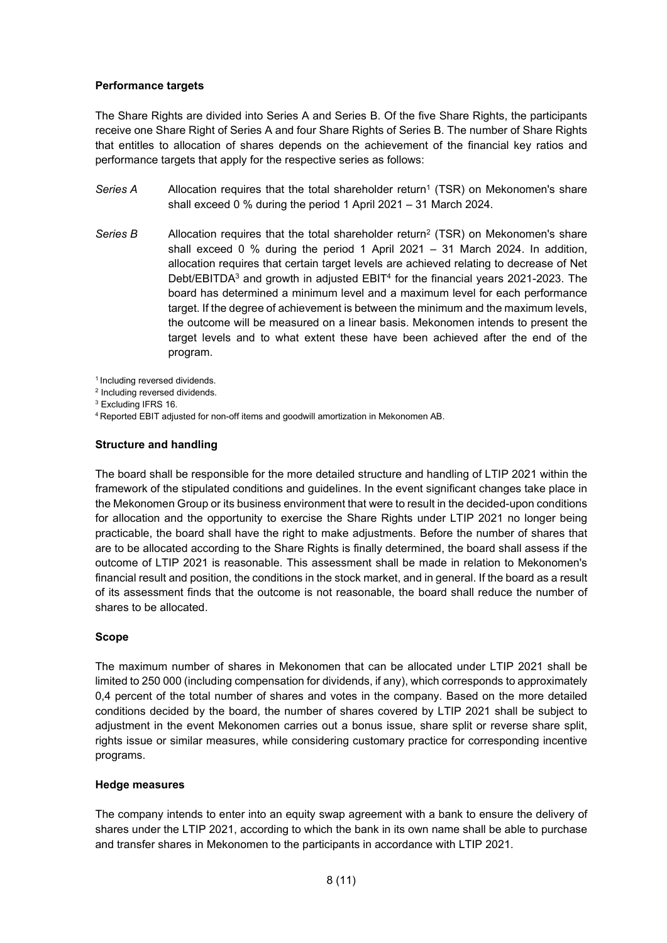### **Performance targets**

The Share Rights are divided into Series A and Series B. Of the five Share Rights, the participants receive one Share Right of Series A and four Share Rights of Series B. The number of Share Rights that entitles to allocation of shares depends on the achievement of the financial key ratios and performance targets that apply for the respective series as follows:

- Series A Allocation requires that the total shareholder return<sup>1</sup> (TSR) on Mekonomen's share shall exceed 0 % during the period 1 April 2021 – 31 March 2024.
- Series B Allocation requires that the total shareholder return<sup>2</sup> (TSR) on Mekonomen's share shall exceed 0 % during the period 1 April 2021 – 31 March 2024. In addition, allocation requires that certain target levels are achieved relating to decrease of Net Debt/EBITDA<sup>3</sup> and growth in adjusted EBIT<sup>4</sup> for the financial years 2021-2023. The board has determined a minimum level and a maximum level for each performance target. If the degree of achievement is between the minimum and the maximum levels, the outcome will be measured on a linear basis. Mekonomen intends to present the target levels and to what extent these have been achieved after the end of the program.

<sup>1</sup> Including reversed dividends.

- <sup>2</sup> Including reversed dividends.
- <sup>3</sup> Excluding IFRS 16.

4 Reported EBIT adjusted for non-off items and goodwill amortization in Mekonomen AB.

#### **Structure and handling**

The board shall be responsible for the more detailed structure and handling of LTIP 2021 within the framework of the stipulated conditions and guidelines. In the event significant changes take place in the Mekonomen Group or its business environment that were to result in the decided-upon conditions for allocation and the opportunity to exercise the Share Rights under LTIP 2021 no longer being practicable, the board shall have the right to make adjustments. Before the number of shares that are to be allocated according to the Share Rights is finally determined, the board shall assess if the outcome of LTIP 2021 is reasonable. This assessment shall be made in relation to Mekonomen's financial result and position, the conditions in the stock market, and in general. If the board as a result of its assessment finds that the outcome is not reasonable, the board shall reduce the number of shares to be allocated.

### **Scope**

The maximum number of shares in Mekonomen that can be allocated under LTIP 2021 shall be limited to 250 000 (including compensation for dividends, if any), which corresponds to approximately 0,4 percent of the total number of shares and votes in the company. Based on the more detailed conditions decided by the board, the number of shares covered by LTIP 2021 shall be subject to adjustment in the event Mekonomen carries out a bonus issue, share split or reverse share split, rights issue or similar measures, while considering customary practice for corresponding incentive programs.

#### **Hedge measures**

The company intends to enter into an equity swap agreement with a bank to ensure the delivery of shares under the LTIP 2021, according to which the bank in its own name shall be able to purchase and transfer shares in Mekonomen to the participants in accordance with LTIP 2021.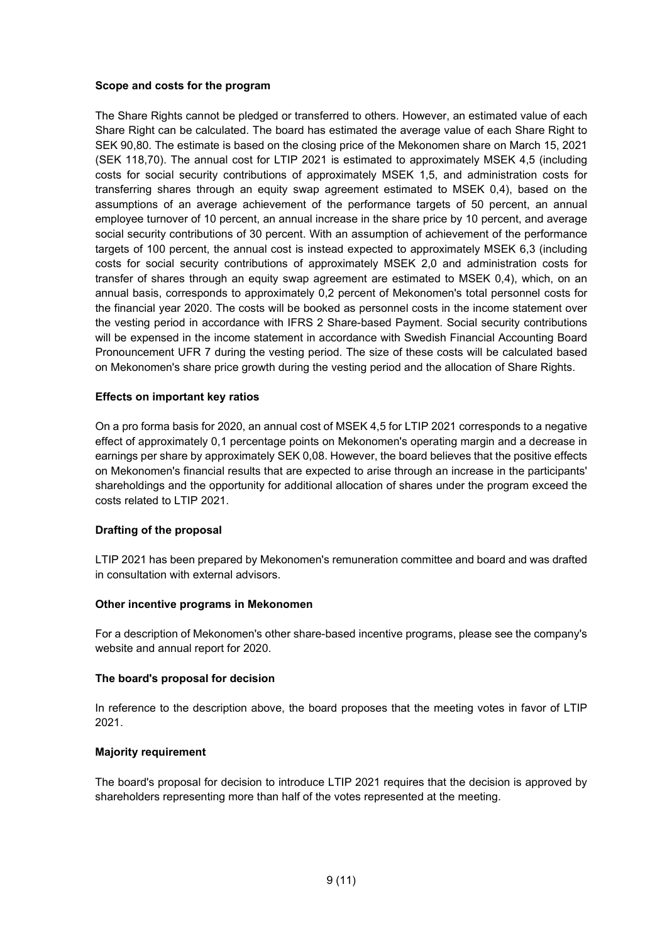#### **Scope and costs for the program**

The Share Rights cannot be pledged or transferred to others. However, an estimated value of each Share Right can be calculated. The board has estimated the average value of each Share Right to SEK 90,80. The estimate is based on the closing price of the Mekonomen share on March 15, 2021 (SEK 118,70). The annual cost for LTIP 2021 is estimated to approximately MSEK 4,5 (including costs for social security contributions of approximately MSEK 1,5, and administration costs for transferring shares through an equity swap agreement estimated to MSEK 0,4), based on the assumptions of an average achievement of the performance targets of 50 percent, an annual employee turnover of 10 percent, an annual increase in the share price by 10 percent, and average social security contributions of 30 percent. With an assumption of achievement of the performance targets of 100 percent, the annual cost is instead expected to approximately MSEK 6,3 (including costs for social security contributions of approximately MSEK 2,0 and administration costs for transfer of shares through an equity swap agreement are estimated to MSEK 0,4), which, on an annual basis, corresponds to approximately 0,2 percent of Mekonomen's total personnel costs for the financial year 2020. The costs will be booked as personnel costs in the income statement over the vesting period in accordance with IFRS 2 Share-based Payment. Social security contributions will be expensed in the income statement in accordance with Swedish Financial Accounting Board Pronouncement UFR 7 during the vesting period. The size of these costs will be calculated based on Mekonomen's share price growth during the vesting period and the allocation of Share Rights.

### **Effects on important key ratios**

On a pro forma basis for 2020, an annual cost of MSEK 4,5 for LTIP 2021 corresponds to a negative effect of approximately 0,1 percentage points on Mekonomen's operating margin and a decrease in earnings per share by approximately SEK 0,08. However, the board believes that the positive effects on Mekonomen's financial results that are expected to arise through an increase in the participants' shareholdings and the opportunity for additional allocation of shares under the program exceed the costs related to LTIP 2021.

### **Drafting of the proposal**

LTIP 2021 has been prepared by Mekonomen's remuneration committee and board and was drafted in consultation with external advisors.

#### **Other incentive programs in Mekonomen**

For a description of Mekonomen's other share-based incentive programs, please see the company's website and annual report for 2020.

#### **The board's proposal for decision**

In reference to the description above, the board proposes that the meeting votes in favor of LTIP 2021.

#### **Majority requirement**

The board's proposal for decision to introduce LTIP 2021 requires that the decision is approved by shareholders representing more than half of the votes represented at the meeting.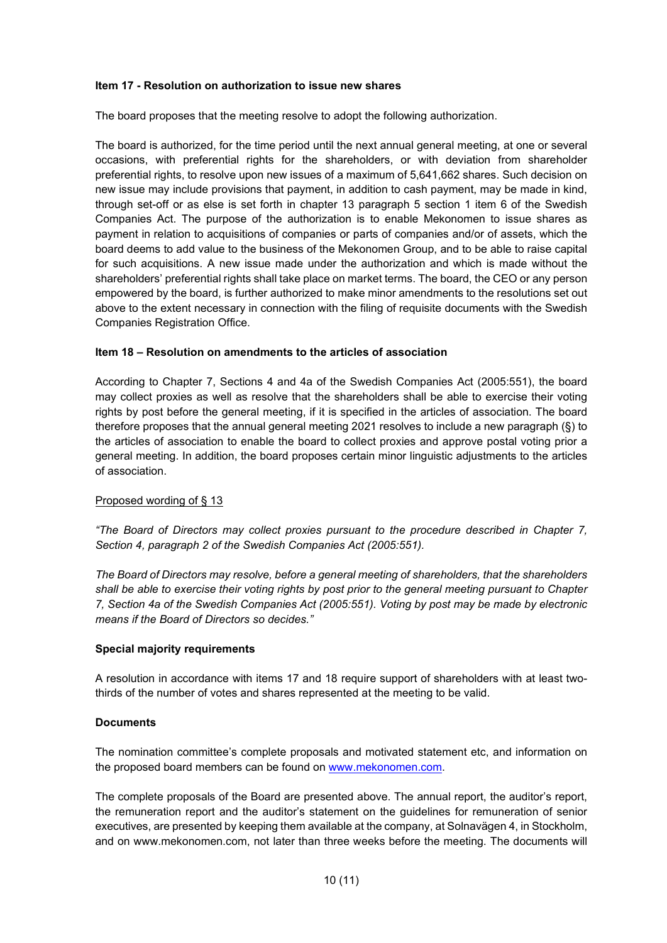#### **Item 17 - Resolution on authorization to issue new shares**

The board proposes that the meeting resolve to adopt the following authorization.

The board is authorized, for the time period until the next annual general meeting, at one or several occasions, with preferential rights for the shareholders, or with deviation from shareholder preferential rights, to resolve upon new issues of a maximum of 5,641,662 shares. Such decision on new issue may include provisions that payment, in addition to cash payment, may be made in kind, through set-off or as else is set forth in chapter 13 paragraph 5 section 1 item 6 of the Swedish Companies Act. The purpose of the authorization is to enable Mekonomen to issue shares as payment in relation to acquisitions of companies or parts of companies and/or of assets, which the board deems to add value to the business of the Mekonomen Group, and to be able to raise capital for such acquisitions. A new issue made under the authorization and which is made without the shareholders' preferential rights shall take place on market terms. The board, the CEO or any person empowered by the board, is further authorized to make minor amendments to the resolutions set out above to the extent necessary in connection with the filing of requisite documents with the Swedish Companies Registration Office.

#### **Item 18 – Resolution on amendments to the articles of association**

According to Chapter 7, Sections 4 and 4a of the Swedish Companies Act (2005:551), the board may collect proxies as well as resolve that the shareholders shall be able to exercise their voting rights by post before the general meeting, if it is specified in the articles of association. The board therefore proposes that the annual general meeting 2021 resolves to include a new paragraph (§) to the articles of association to enable the board to collect proxies and approve postal voting prior a general meeting. In addition, the board proposes certain minor linguistic adjustments to the articles of association.

#### Proposed wording of § 13

*"The Board of Directors may collect proxies pursuant to the procedure described in Chapter 7, Section 4, paragraph 2 of the Swedish Companies Act (2005:551).*

*The Board of Directors may resolve, before a general meeting of shareholders, that the shareholders shall be able to exercise their voting rights by post prior to the general meeting pursuant to Chapter 7, Section 4a of the Swedish Companies Act (2005:551). Voting by post may be made by electronic means if the Board of Directors so decides."*

#### **Special majority requirements**

A resolution in accordance with items 17 and 18 require support of shareholders with at least twothirds of the number of votes and shares represented at the meeting to be valid.

#### **Documents**

The nomination committee's complete proposals and motivated statement etc, and information on the proposed board members can be found on [www.mekonomen.com.](http://www.mekonomen.com/)

The complete proposals of the Board are presented above. The annual report, the auditor's report, the remuneration report and the auditor's statement on the guidelines for remuneration of senior executives, are presented by keeping them available at the company, at Solnavägen 4, in Stockholm, and on www.mekonomen.com, not later than three weeks before the meeting. The documents will